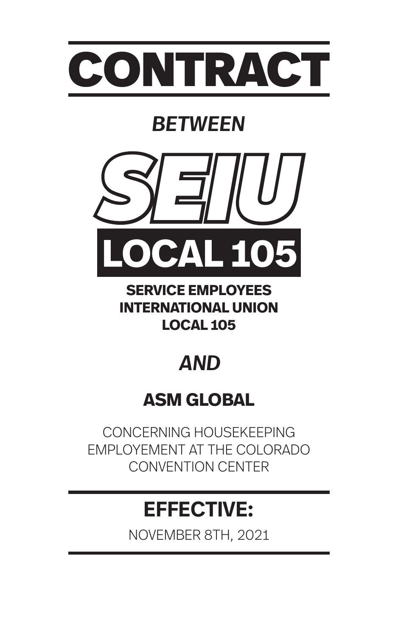

# *BETWEEN*



**SERVICE EMPLOYEES INTERNATIONAL UNION LOCAL 105**

# *AND*

# **ASM GLOBAL**

CONCERNING HOUSEKEEPING EMPLOYEMENT AT THE COLORADO CONVENTION CENTER

# **EFFECTIVE:**

NOVEMBER 8TH, 2021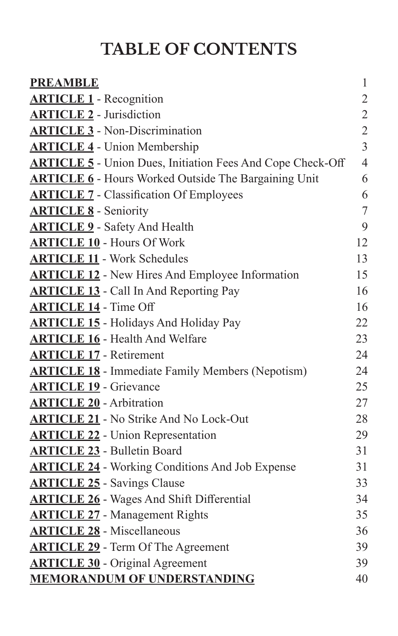# **TABLE OF CONTENTS**

| <b>PREAMBLE</b>                                                   | $\mathbf{1}$   |
|-------------------------------------------------------------------|----------------|
| <b>ARTICLE 1</b> - Recognition                                    | $\sqrt{2}$     |
| <b>ARTICLE 2</b> - Jurisdiction                                   | $\overline{2}$ |
| <b>ARTICLE 3</b> - Non-Discrimination                             | $\overline{2}$ |
| <b>ARTICLE 4</b> - Union Membership                               | $\overline{3}$ |
| <b>ARTICLE 5</b> - Union Dues, Initiation Fees And Cope Check-Off | $\overline{4}$ |
| <b>ARTICLE 6</b> - Hours Worked Outside The Bargaining Unit       | 6              |
| <b>ARTICLE 7 - Classification Of Employees</b>                    | 6              |
| <b>ARTICLE 8</b> - Seniority                                      | $\tau$         |
| <b>ARTICLE 9</b> - Safety And Health                              | 9              |
| <b>ARTICLE 10 - Hours Of Work</b>                                 | 12             |
| <b>ARTICLE 11 - Work Schedules</b>                                | 13             |
| <b>ARTICLE 12 - New Hires And Employee Information</b>            | 15             |
| <b>ARTICLE 13</b> - Call In And Reporting Pay                     | 16             |
| <b>ARTICLE 14 - Time Off</b>                                      | 16             |
| <b>ARTICLE 15 - Holidays And Holiday Pay</b>                      | 22             |
| <b>ARTICLE 16</b> - Health And Welfare                            | 23             |
| <b>ARTICLE 17 - Retirement</b>                                    | 24             |
| <b>ARTICLE 18</b> - Immediate Family Members (Nepotism)           | 24             |
| <b>ARTICLE 19</b> - Grievance                                     | 25             |
| <b>ARTICLE 20</b> - Arbitration                                   | 27             |
| <b>ARTICLE 21</b> - No Strike And No Lock-Out                     | 28             |
| <b>ARTICLE 22 - Union Representation</b>                          | 29             |
| <b>ARTICLE 23 - Bulletin Board</b>                                | 31             |
| <b>ARTICLE 24</b> - Working Conditions And Job Expense            | 31             |
| <b>ARTICLE 25</b> - Savings Clause                                | 33             |
| <b>ARTICLE 26</b> - Wages And Shift Differential                  | 34             |
| <b>ARTICLE 27 - Management Rights</b>                             | 35             |
| <b>ARTICLE 28</b> - Miscellaneous                                 | 36             |
| <b>ARTICLE 29</b> - Term Of The Agreement                         | 39             |
| <b>ARTICLE 30</b> - Original Agreement                            | 39             |
| <b>MEMORANDUM OF UNDERSTANDING</b>                                | 40             |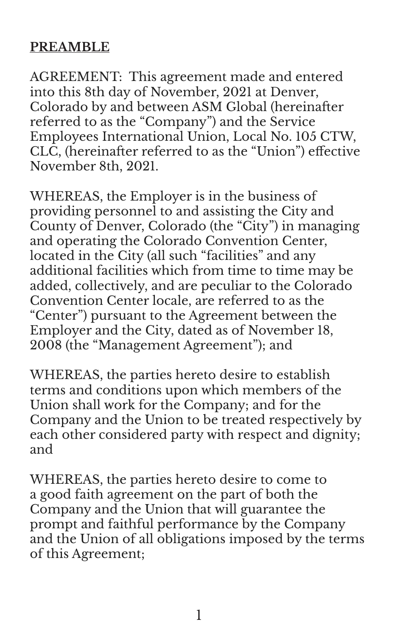# **PREAMBLE**

AGREEMENT: This agreement made and entered into this 8th day of November, 2021 at Denver, Colorado by and between ASM Global (hereinafter referred to as the "Company") and the Service Employees International Union, Local No. 105 CTW, CLC, (hereinafter referred to as the "Union") effective November 8th, 2021.

WHEREAS, the Employer is in the business of providing personnel to and assisting the City and County of Denver, Colorado (the "City") in managing and operating the Colorado Convention Center, located in the City (all such "facilities" and any additional facilities which from time to time may be added, collectively, and are peculiar to the Colorado Convention Center locale, are referred to as the "Center") pursuant to the Agreement between the Employer and the City, dated as of November 18, 2008 (the "Management Agreement"); and

WHEREAS, the parties hereto desire to establish terms and conditions upon which members of the Union shall work for the Company; and for the Company and the Union to be treated respectively by each other considered party with respect and dignity; and

WHEREAS, the parties hereto desire to come to a good faith agreement on the part of both the Company and the Union that will guarantee the prompt and faithful performance by the Company and the Union of all obligations imposed by the terms of this Agreement;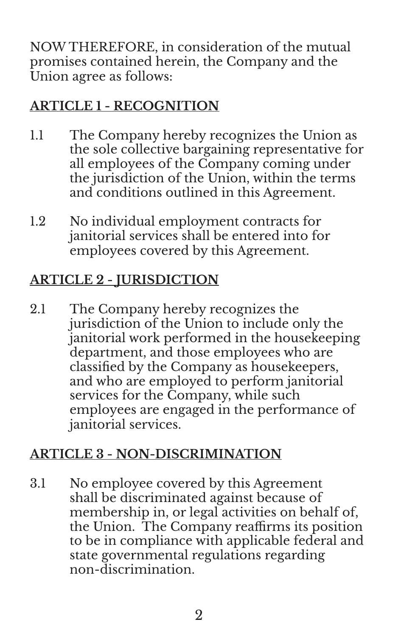NOW THEREFORE, in consideration of the mutual promises contained herein, the Company and the Union agree as follows:

# **ARTICLE 1 - RECOGNITION**

- 1.1 The Company hereby recognizes the Union as the sole collective bargaining representative for all employees of the Company coming under the jurisdiction of the Union, within the terms and conditions outlined in this Agreement.
- 1.2 No individual employment contracts for janitorial services shall be entered into for employees covered by this Agreement.

# **ARTICLE 2 - JURISDICTION**

2.1 The Company hereby recognizes the jurisdiction of the Union to include only the janitorial work performed in the housekeeping department, and those employees who are classified by the Company as housekeepers, and who are employed to perform janitorial services for the Company, while such employees are engaged in the performance of janitorial services.

# **ARTICLE 3 - NON-DISCRIMINATION**

3.1 No employee covered by this Agreement shall be discriminated against because of membership in, or legal activities on behalf of, the Union. The Company reaffirms its position to be in compliance with applicable federal and state governmental regulations regarding non-discrimination.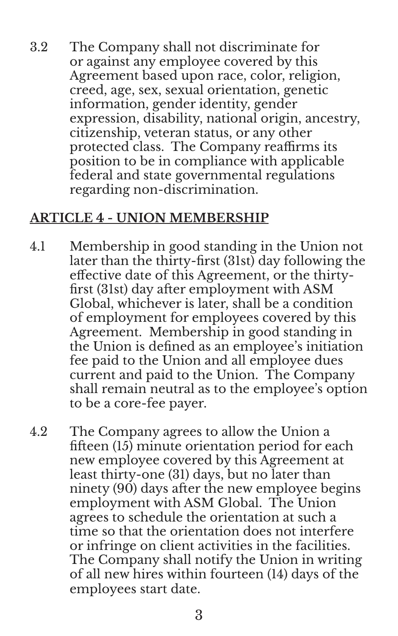3.2 The Company shall not discriminate for or against any employee covered by this Agreement based upon race, color, religion, creed, age, sex, sexual orientation, genetic information, gender identity, gender expression, disability, national origin, ancestry, citizenship, veteran status, or any other protected class. The Company reaffirms its position to be in compliance with applicable federal and state governmental regulations regarding non-discrimination.

#### **ARTICLE 4 - UNION MEMBERSHIP**

- 4.1 Membership in good standing in the Union not later than the thirty-first (31st) day following the effective date of this Agreement, or the thirtyfirst (31st) day after employment with ASM Global, whichever is later, shall be a condition of employment for employees covered by this Agreement. Membership in good standing in the Union is defined as an employee's initiation fee paid to the Union and all employee dues current and paid to the Union. The Company shall remain neutral as to the employee's option to be a core-fee payer.
- 4.2 The Company agrees to allow the Union a fifteen (15) minute orientation period for each new employee covered by this Agreement at least thirty-one (31) days, but no later than ninety (90) days after the new employee begins employment with ASM Global. The Union agrees to schedule the orientation at such a time so that the orientation does not interfere or infringe on client activities in the facilities. The Company shall notify the Union in writing of all new hires within fourteen (14) days of the employees start date.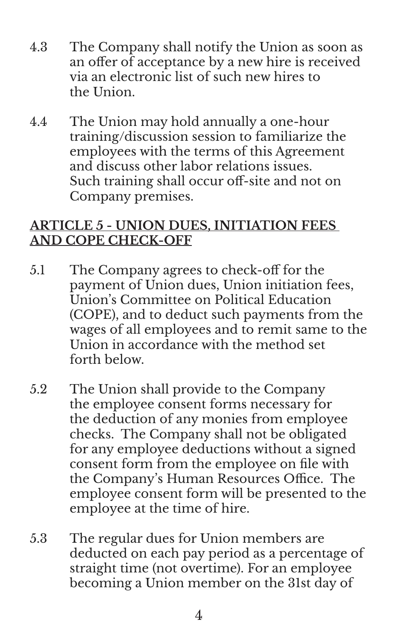- 4.3 The Company shall notify the Union as soon as an offer of acceptance by a new hire is received via an electronic list of such new hires to the Union.
- 4.4 The Union may hold annually a one-hour training/discussion session to familiarize the employees with the terms of this Agreement and discuss other labor relations issues. Such training shall occur off-site and not on Company premises.

#### **ARTICLE 5 - UNION DUES, INITIATION FEES AND COPE CHECK-OFF**

- 5.1 The Company agrees to check-off for the payment of Union dues, Union initiation fees, Union's Committee on Political Education (COPE), and to deduct such payments from the wages of all employees and to remit same to the Union in accordance with the method set forth below.
- 5.2 The Union shall provide to the Company the employee consent forms necessary for the deduction of any monies from employee checks. The Company shall not be obligated for any employee deductions without a signed consent form from the employee on file with the Company's Human Resources Office. The employee consent form will be presented to the employee at the time of hire.
- 5.3 The regular dues for Union members are deducted on each pay period as a percentage of straight time (not overtime). For an employee becoming a Union member on the 31st day of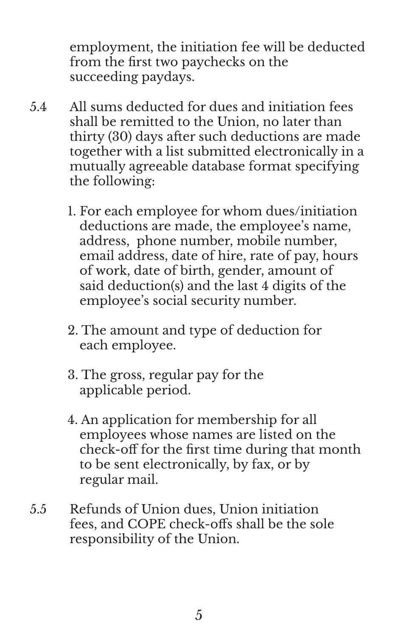employment, the initiation fee will be deducted from the first two paychecks on the succeeding paydays.

- 5.4 All sums deducted for dues and initiation fees shall be remitted to the Union, no later than thirty (30) days after such deductions are made together with a list submitted electronically in a mutually agreeable database format specifying the following:
	- 1. For each employee for whom dues/initiation deductions are made, the employee's name, address, phone number, mobile number, email address, date of hire, rate of pay, hours of work, date of birth, gender, amount of said deduction(s) and the last 4 digits of the employee's social security number.
	- 2. The amount and type of deduction for each employee.
	- 3. The gross, regular pay for the applicable period.
	- 4. An application for membership for all employees whose names are listed on the check-off for the first time during that month to be sent electronically, by fax, or by regular mail.
- 5.5 Refunds of Union dues, Union initiation fees, and COPE check-offs shall be the sole responsibility of the Union.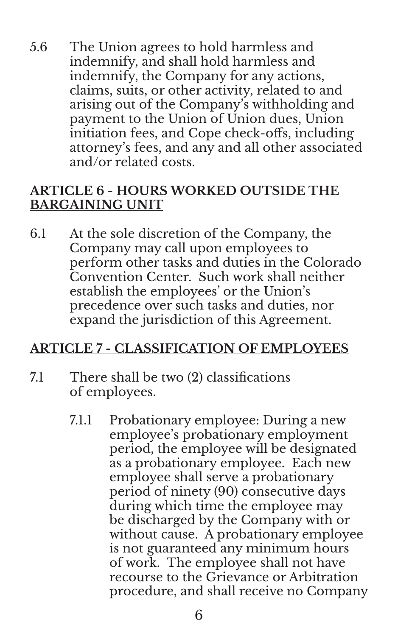5.6 The Union agrees to hold harmless and indemnify, and shall hold harmless and indemnify, the Company for any actions, claims, suits, or other activity, related to and arising out of the Company's withholding and payment to the Union of Union dues, Union initiation fees, and Cope check-offs, including attorney's fees, and any and all other associated and/or related costs.

#### **ARTICLE 6 - HOURS WORKED OUTSIDE THE BARGAINING UNIT**

6.1 At the sole discretion of the Company, the Company may call upon employees to perform other tasks and duties in the Colorado Convention Center. Such work shall neither establish the employees' or the Union's precedence over such tasks and duties, nor expand the jurisdiction of this Agreement.

#### **ARTICLE 7 - CLASSIFICATION OF EMPLOYEES**

- 7.1 There shall be two (2) classifications of employees.
	- 7.1.1 Probationary employee: During a new employee's probationary employment period, the employee will be designated as a probationary employee. Each new employee shall serve a probationary period of ninety (90) consecutive days during which time the employee may be discharged by the Company with or without cause. A probationary employee is not guaranteed any minimum hours of work. The employee shall not have recourse to the Grievance or Arbitration procedure, and shall receive no Company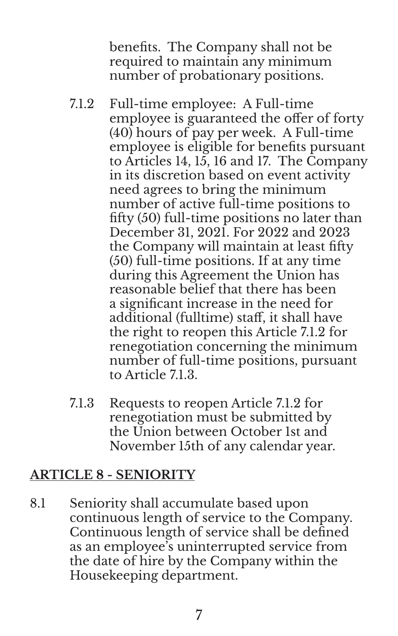benefits. The Company shall not be required to maintain any minimum number of probationary positions.

- 7.1.2 Full-time employee: A Full-time employee is guaranteed the offer of forty (40) hours of pay per week. A Full-time employee is eligible for benefits pursuant to Articles 14, 15, 16 and 17. The Company in its discretion based on event activity need agrees to bring the minimum number of active full-time positions to fifty (50) full-time positions no later than December 31, 2021. For 2022 and 2023 the Company will maintain at least fifty (50) full-time positions. If at any time during this Agreement the Union has reasonable belief that there has been a significant increase in the need for additional (fulltime) staff, it shall have the right to reopen this Article 7.1.2 for renegotiation concerning the minimum number of full-time positions, pursuant to Article 71.3.
- 7.1.3 Requests to reopen Article 7.1.2 for renegotiation must be submitted by the Union between October 1st and November 15th of any calendar year.

# **ARTICLE 8 - SENIORITY**

8.1 Seniority shall accumulate based upon continuous length of service to the Company. Continuous length of service shall be defined as an employee's uninterrupted service from the date of hire by the Company within the Housekeeping department.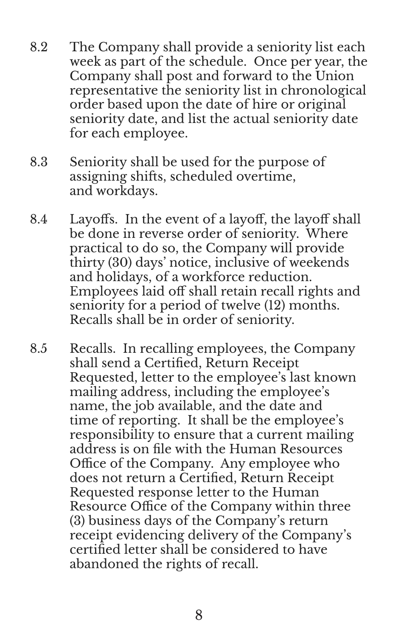- 8.2 The Company shall provide a seniority list each week as part of the schedule. Once per year, the Company shall post and forward to the Union representative the seniority list in chronological order based upon the date of hire or original seniority date, and list the actual seniority date for each employee.
- 8.3 Seniority shall be used for the purpose of assigning shifts, scheduled overtime, and workdays.
- 8.4 Layoffs. In the event of a layoff, the layoff shall be done in reverse order of seniority. Where practical to do so, the Company will provide thirty (30) days' notice, inclusive of weekends and holidays, of a workforce reduction. Employees laid off shall retain recall rights and seniority for a period of twelve (12) months. Recalls shall be in order of seniority.
- 8.5 Recalls. In recalling employees, the Company shall send a Certified, Return Receipt Requested, letter to the employee's last known mailing address, including the employee's name, the job available, and the date and time of reporting. It shall be the employee's responsibility to ensure that a current mailing address is on file with the Human Resources Office of the Company. Any employee who does not return a Certified, Return Receipt Requested response letter to the Human Resource Office of the Company within three (3) business days of the Company's return receipt evidencing delivery of the Company's certified letter shall be considered to have abandoned the rights of recall.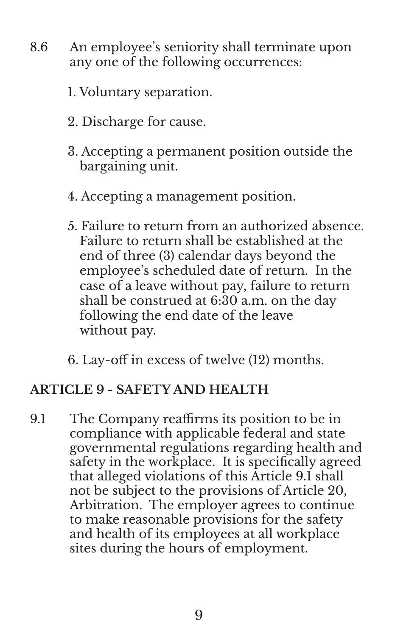- 8.6 An employee's seniority shall terminate upon any one of the following occurrences:
	- 1. Voluntary separation.
	- 2. Discharge for cause.
	- 3. Accepting a permanent position outside the bargaining unit.
	- 4. Accepting a management position.
	- 5. Failure to return from an authorized absence. Failure to return shall be established at the end of three (3) calendar days beyond the employee's scheduled date of return. In the case of a leave without pay, failure to return shall be construed at 6:30 a.m. on the day following the end date of the leave without pay.
	- 6. Lay-off in excess of twelve (12) months.

# **ARTICLE 9 - SAFETY AND HEALTH**

9.1 The Company reaffirms its position to be in compliance with applicable federal and state governmental regulations regarding health and safety in the workplace. It is specifically agreed that alleged violations of this Article 9.1 shall not be subject to the provisions of Article 20, Arbitration. The employer agrees to continue to make reasonable provisions for the safety and health of its employees at all workplace sites during the hours of employment.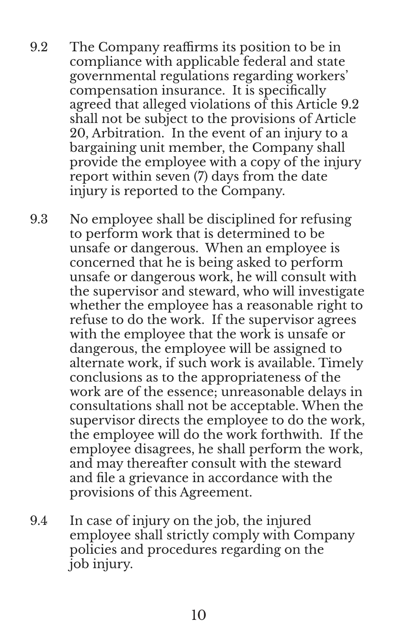- 9.2 The Company reaffirms its position to be in compliance with applicable federal and state governmental regulations regarding workers' compensation insurance. It is specifically agreed that alleged violations of this Article 9.2 shall not be subject to the provisions of Article 20, Arbitration. In the event of an injury to a bargaining unit member, the Company shall provide the employee with a copy of the injury report within seven (7) days from the date injury is reported to the Company.
- 9.3 No employee shall be disciplined for refusing to perform work that is determined to be unsafe or dangerous. When an employee is concerned that he is being asked to perform unsafe or dangerous work, he will consult with the supervisor and steward, who will investigate whether the employee has a reasonable right to refuse to do the work. If the supervisor agrees with the employee that the work is unsafe or dangerous, the employee will be assigned to alternate work, if such work is available. Timely conclusions as to the appropriateness of the work are of the essence; unreasonable delays in consultations shall not be acceptable. When the supervisor directs the employee to do the work, the employee will do the work forthwith. If the employee disagrees, he shall perform the work, and may thereafter consult with the steward and file a grievance in accordance with the provisions of this Agreement.
- 9.4 In case of injury on the job, the injured employee shall strictly comply with Company policies and procedures regarding on the job injury.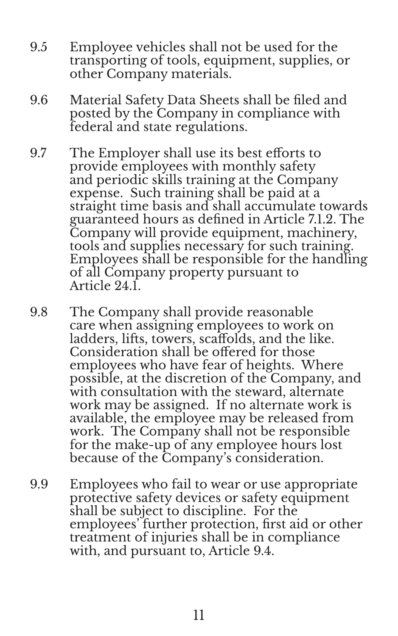- 9.5 Employee vehicles shall not be used for the transporting of tools, equipment, supplies, or other Company materials.
- 9.6 Material Safety Data Sheets shall be filed and posted by the Company in compliance with federal and state regulations.
- 9.7 The Employer shall use its best efforts to provide employees with monthly safety and periodic skills training at the Company expense. Such training shall be paid at a straight time basis and shall accumulate towards guaranteed hours as defined in Article 7.1.2. The Company will provide equipment, machinery, tools and supplies necessary for such training. Employees shall be responsible for the handling of all Company property pursuant to Article 24.1.
- 9.8 The Company shall provide reasonable care when assigning employees to work on ladders, lifts, towers, scaffolds, and the like. Consideration shall be offered for those employees who have fear of heights. Where possible, at the discretion of the Company, and with consultation with the steward, alternate work may be assigned. If no alternate work is available, the employee may be released from work. The Company shall not be responsible for the make-up of any employee hours lost because of the Company's consideration.
- 9.9 Employees who fail to wear or use appropriate protective safety devices or safety equipment shall be subject to discipline. For the employees' further protection, first aid or other treatment of injuries shall be in compliance with, and pursuant to, Article 9.4.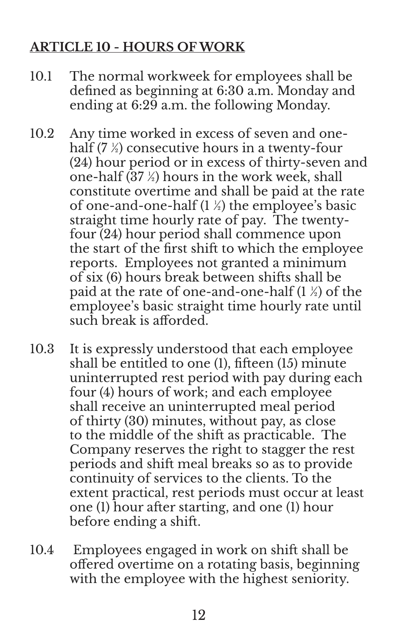# **ARTICLE 10 - HOURS OF WORK**

- 10.1 The normal workweek for employees shall be defined as beginning at 6:30 a.m. Monday and ending at 6:29 a.m. the following Monday.
- 10.2 Any time worked in excess of seven and onehalf (7 ½) consecutive hours in a twenty-four (24) hour period or in excess of thirty-seven and one-half (37 ½) hours in the work week, shall constitute overtime and shall be paid at the rate of one-and-one-half  $(1 \frac{1}{2})$  the employee's basic straight time hourly rate of pay. The twentyfour (24) hour period shall commence upon the start of the first shift to which the employee reports. Employees not granted a minimum of six (6) hours break between shifts shall be paid at the rate of one-and-one-half  $(1 \frac{1}{2})$  of the employee's basic straight time hourly rate until such break is afforded.
- 10.3 It is expressly understood that each employee shall be entitled to one (1), fifteen (15) minute uninterrupted rest period with pay during each four (4) hours of work; and each employee shall receive an uninterrupted meal period of thirty (30) minutes, without pay, as close to the middle of the shift as practicable. The Company reserves the right to stagger the rest periods and shift meal breaks so as to provide continuity of services to the clients. To the extent practical, rest periods must occur at least one (1) hour after starting, and one (1) hour before ending a shift.
- 10.4 Employees engaged in work on shift shall be offered overtime on a rotating basis, beginning with the employee with the highest seniority.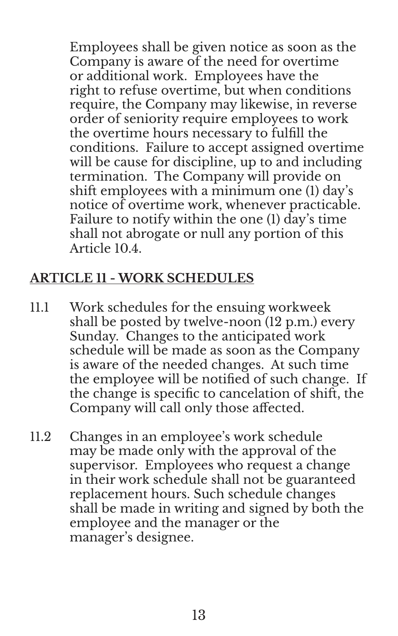Employees shall be given notice as soon as the Company is aware of the need for overtime or additional work. Employees have the right to refuse overtime, but when conditions require, the Company may likewise, in reverse order of seniority require employees to work the overtime hours necessary to fulfill the conditions. Failure to accept assigned overtime will be cause for discipline, up to and including termination. The Company will provide on shift employees with a minimum one (1) day's notice of overtime work, whenever practicable. Failure to notify within the one (1) day's time shall not abrogate or null any portion of this Article 10.4.

### **ARTICLE 11 - WORK SCHEDULES**

- 11.1 Work schedules for the ensuing workweek shall be posted by twelve-noon (12 p.m.) every Sunday. Changes to the anticipated work schedule will be made as soon as the Company is aware of the needed changes. At such time the employee will be notified of such change. If the change is specific to cancelation of shift, the Company will call only those affected.
- 11.2 Changes in an employee's work schedule may be made only with the approval of the supervisor. Employees who request a change in their work schedule shall not be guaranteed replacement hours. Such schedule changes shall be made in writing and signed by both the employee and the manager or the manager's designee.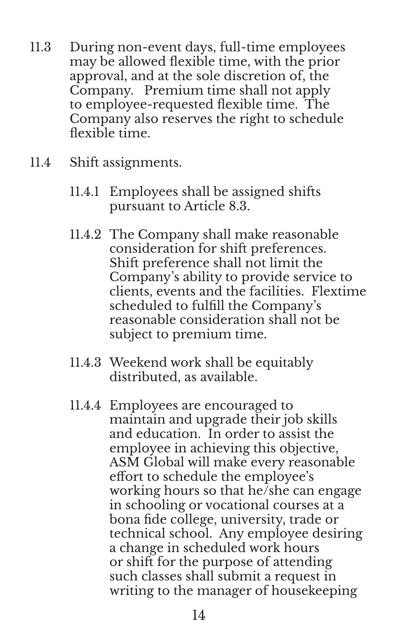- 11.3 During non-event days, full-time employees may be allowed flexible time, with the prior approval, and at the sole discretion of, the Company. Premium time shall not apply to employee-requested flexible time. The Company also reserves the right to schedule flexible time.
- 11.4 Shift assignments.
	- 11.4.1 Employees shall be assigned shifts pursuant to Article 8.3.
	- 11.4.2 The Company shall make reasonable consideration for shift preferences. Shift preference shall not limit the Company's ability to provide service to clients, events and the facilities. Flextime scheduled to fulfill the Company's reasonable consideration shall not be subject to premium time.
	- 11.4.3 Weekend work shall be equitably distributed, as available.
	- 11.4.4 Employees are encouraged to maintain and upgrade their job skills and education. In order to assist the employee in achieving this objective, ASM Global will make every reasonable effort to schedule the employee's working hours so that he/she can engage in schooling or vocational courses at a bona fide college, university, trade or technical school. Any employee desiring a change in scheduled work hours or shift for the purpose of attending such classes shall submit a request in writing to the manager of housekeeping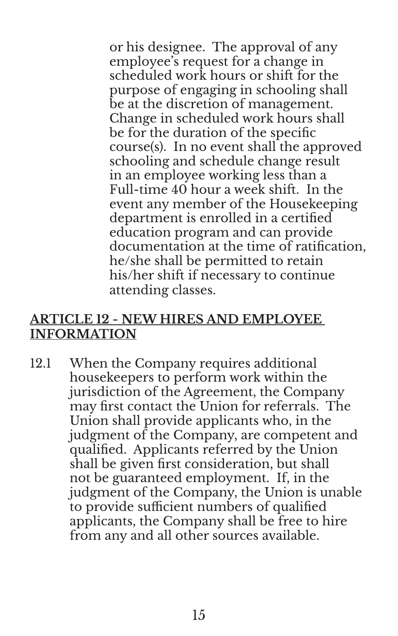or his designee. The approval of any employee's request for a change in scheduled work hours or shift for the purpose of engaging in schooling shall be at the discretion of management. Change in scheduled work hours shall be for the duration of the specific course(s). In no event shall the approved schooling and schedule change result in an employee working less than a Full-time 40 hour a week shift. In the event any member of the Housekeeping department is enrolled in a certified education program and can provide documentation at the time of ratification, he/she shall be permitted to retain his/her shift if necessary to continue attending classes.

#### **ARTICLE 12 - NEW HIRES AND EMPLOYEE INFORMATION**

12.1 When the Company requires additional housekeepers to perform work within the jurisdiction of the Agreement, the Company may first contact the Union for referrals. The Union shall provide applicants who, in the judgment of the Company, are competent and qualified. Applicants referred by the Union shall be given first consideration, but shall not be guaranteed employment. If, in the judgment of the Company, the Union is unable to provide sufficient numbers of qualified applicants, the Company shall be free to hire from any and all other sources available.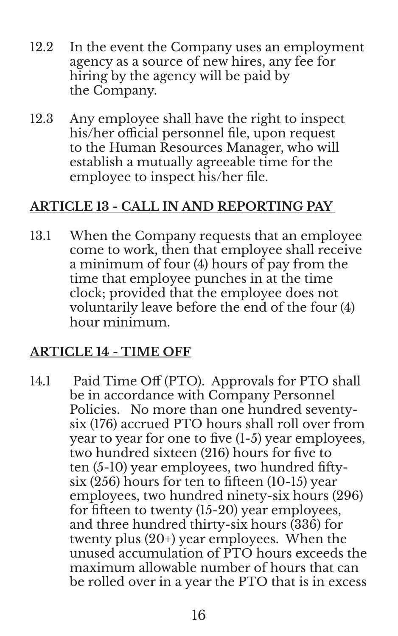- 12.2 In the event the Company uses an employment agency as a source of new hires, any fee for hiring by the agency will be paid by the Company.
- 12.3 Any employee shall have the right to inspect his/her official personnel file, upon request to the Human Resources Manager, who will establish a mutually agreeable time for the employee to inspect his/her file.

# **ARTICLE 13 - CALL IN AND REPORTING PAY**

13.1 When the Company requests that an employee come to work, then that employee shall receive a minimum of four (4) hours of pay from the time that employee punches in at the time clock; provided that the employee does not voluntarily leave before the end of the four (4) hour minimum.

#### **ARTICLE 14 - TIME OFF**

14.1 Paid Time Off (PTO). Approvals for PTO shall be in accordance with Company Personnel Policies. No more than one hundred seventysix (176) accrued PTO hours shall roll over from year to year for one to five (1-5) year employees, two hundred sixteen (216) hours for five to ten (5-10) year employees, two hundred fiftysix (256) hours for ten to fifteen (10-15) year employees, two hundred ninety-six hours (296) for fifteen to twenty (15-20) year employees, and three hundred thirty-six hours (336) for twenty plus (20+) year employees. When the unused accumulation of PTO hours exceeds the maximum allowable number of hours that can be rolled over in a year the PTO that is in excess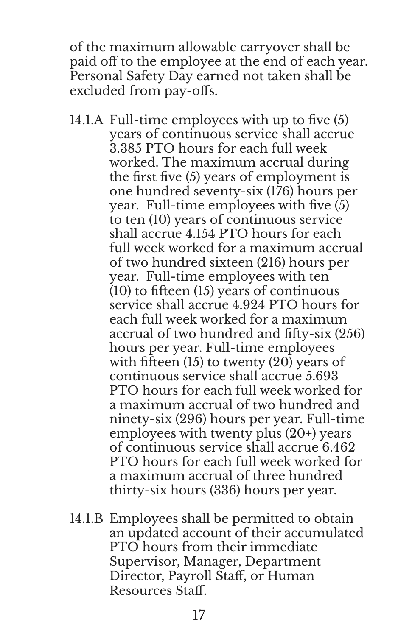of the maximum allowable carryover shall be paid off to the employee at the end of each year. Personal Safety Day earned not taken shall be excluded from pay-offs.

- 14.1.A Full-time employees with up to five (5) years of continuous service shall accrue 3.385 PTO hours for each full week worked. The maximum accrual during the first five (5) years of employment is one hundred seventy-six (176) hours per year. Full-time employees with five (5) to ten (10) years of continuous service shall accrue 4.154 PTO hours for each full week worked for a maximum accrual of two hundred sixteen (216) hours per year. Full-time employees with ten (10) to fifteen (15) years of continuous service shall accrue 4.924 PTO hours for each full week worked for a maximum accrual of two hundred and fifty-six (256) hours per year. Full-time employees with fifteen (15) to twenty (20) years of continuous service shall accrue 5.693 PTO hours for each full week worked for a maximum accrual of two hundred and ninety-six (296) hours per year. Full-time employees with twenty plus (20+) years of continuous service shall accrue 6.462 PTO hours for each full week worked for a maximum accrual of three hundred thirty-six hours (336) hours per year.
- 14.1.B Employees shall be permitted to obtain an updated account of their accumulated PTO hours from their immediate Supervisor, Manager, Department Director, Payroll Staff, or Human Resources Staff.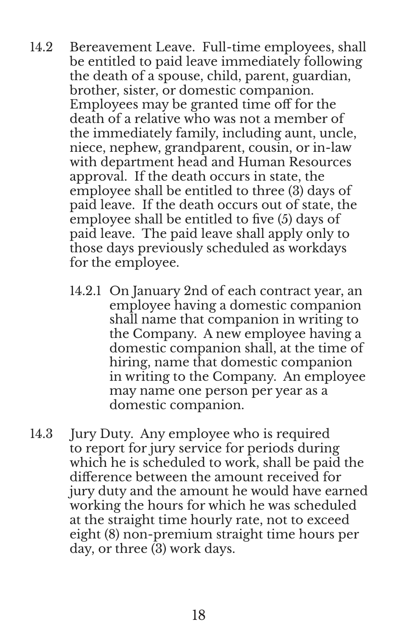- 14.2 Bereavement Leave. Full-time employees, shall be entitled to paid leave immediately following the death of a spouse, child, parent, guardian, brother, sister, or domestic companion. Employees may be granted time off for the death of a relative who was not a member of the immediately family, including aunt, uncle, niece, nephew, grandparent, cousin, or in-law with department head and Human Resources approval. If the death occurs in state, the employee shall be entitled to three (3) days of paid leave. If the death occurs out of state, the employee shall be entitled to five (5) days of paid leave. The paid leave shall apply only to those days previously scheduled as workdays for the employee.
	- 14.2.1 On January 2nd of each contract year, an employee having a domestic companion shall name that companion in writing to the Company. A new employee having a domestic companion shall, at the time of hiring, name that domestic companion in writing to the Company. An employee may name one person per year as a domestic companion.
- 14.3 Jury Duty. Any employee who is required to report for jury service for periods during which he is scheduled to work, shall be paid the difference between the amount received for jury duty and the amount he would have earned working the hours for which he was scheduled at the straight time hourly rate, not to exceed eight (8) non-premium straight time hours per day, or three (3) work days.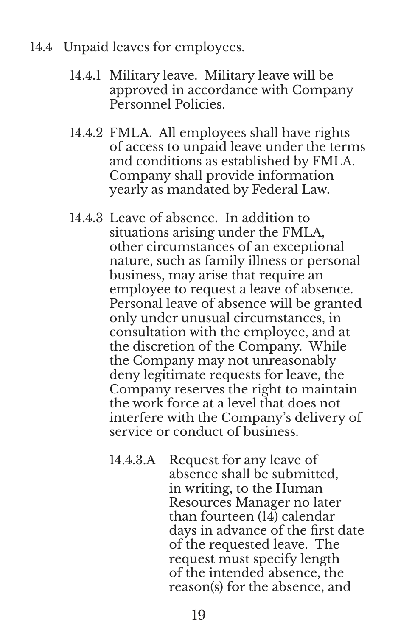- 14.4 Unpaid leaves for employees.
	- 14.4.1 Military leave. Military leave will be approved in accordance with Company Personnel Policies.
	- 14.4.2 FMLA. All employees shall have rights of access to unpaid leave under the terms and conditions as established by FMLA. Company shall provide information yearly as mandated by Federal Law.
	- 14.4.3 Leave of absence. In addition to situations arising under the FMLA, other circumstances of an exceptional nature, such as family illness or personal business, may arise that require an employee to request a leave of absence. Personal leave of absence will be granted only under unusual circumstances, in consultation with the employee, and at the discretion of the Company. While the Company may not unreasonably deny legitimate requests for leave, the Company reserves the right to maintain the work force at a level that does not interfere with the Company's delivery of service or conduct of business.
		- 14.4.3.A Request for any leave of absence shall be submitted, in writing, to the Human Resources Manager no later than fourteen (14) calendar days in advance of the first date of the requested leave. The request must specify length of the intended absence, the reason(s) for the absence, and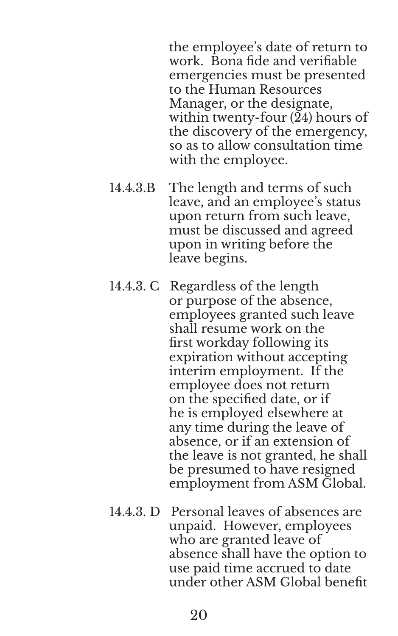the employee's date of return to work. Bona fide and verifiable emergencies must be presented to the Human Resources Manager, or the designate, within twenty-four (24) hours of the discovery of the emergency, so as to allow consultation time with the employee.

- 14.4.3.B The length and terms of such leave, and an employee's status upon return from such leave, must be discussed and agreed upon in writing before the leave begins.
- 14.4.3. C Regardless of the length or purpose of the absence, employees granted such leave shall resume work on the first workday following its expiration without accepting interim employment. If the employee does not return on the specified date, or if he is employed elsewhere at any time during the leave of absence, or if an extension of the leave is not granted, he shall be presumed to have resigned employment from ASM Global.
- 14.4.3. D Personal leaves of absences are unpaid. However, employees who are granted leave of absence shall have the option to use paid time accrued to date under other ASM Global benefit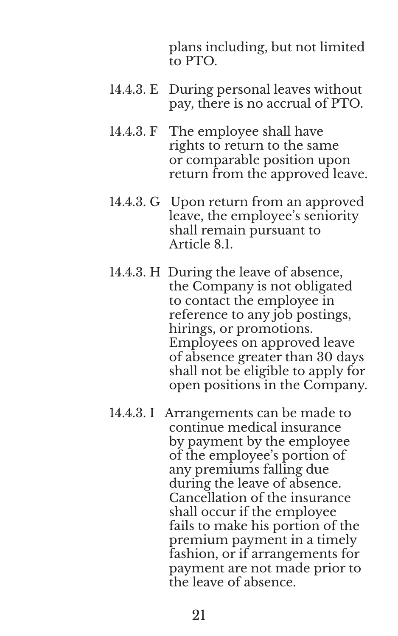plans including, but not limited to PTO.

- 14.4.3. E During personal leaves without pay, there is no accrual of PTO.
- 14.4.3. F The employee shall have rights to return to the same or comparable position upon return from the approved leave.
- 14.4.3. G Upon return from an approved leave, the employee's seniority shall remain pursuant to Article 8.1.
- 14.4.3. H During the leave of absence, the Company is not obligated to contact the employee in reference to any job postings, hirings, or promotions. Employees on approved leave of absence greater than 30 days shall not be eligible to apply for open positions in the Company.
- 14.4.3. I Arrangements can be made to continue medical insurance by payment by the employee of the employee's portion of any premiums falling due during the leave of absence. Cancellation of the insurance shall occur if the employee fails to make his portion of the premium payment in a timely fashion, or if arrangements for payment are not made prior to the leave of absence.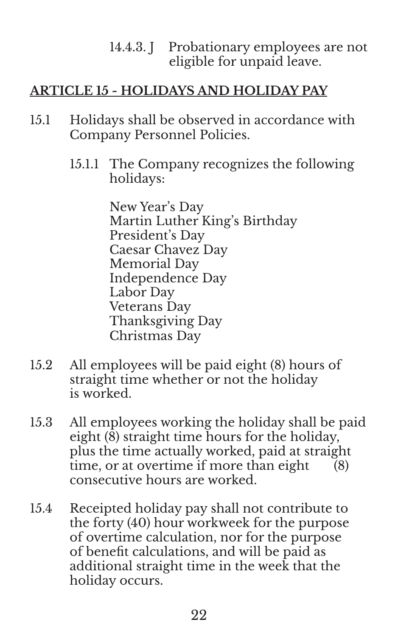#### 14.4.3. J Probationary employees are not eligible for unpaid leave.

# **ARTICLE 15 - HOLIDAYS AND HOLIDAY PAY**

- 15.1 Holidays shall be observed in accordance with Company Personnel Policies.
	- 15.1.1 The Company recognizes the following holidays:

New Year's Day Martin Luther King's Birthday President's Day Caesar Chavez Day Memorial Day Independence Day Labor Day Veterans Day Thanksgiving Day Christmas Day

- 15.2 All employees will be paid eight (8) hours of straight time whether or not the holiday is worked.
- 15.3 All employees working the holiday shall be paid eight (8) straight time hours for the holiday, plus the time actually worked, paid at straight time, or at overtime if more than eight  $(8)$ consecutive hours are worked.
- 15.4 Receipted holiday pay shall not contribute to the forty (40) hour workweek for the purpose of overtime calculation, nor for the purpose of benefit calculations, and will be paid as additional straight time in the week that the holiday occurs.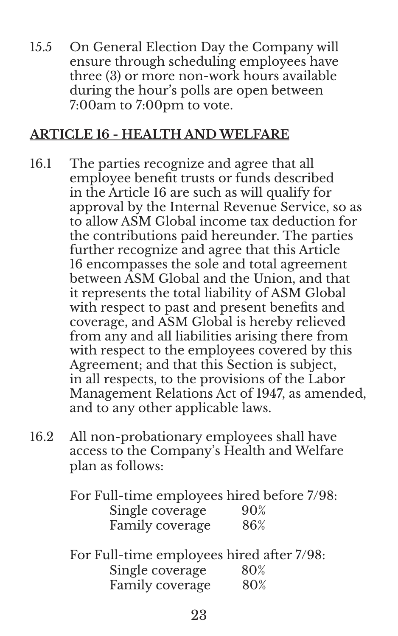15.5 On General Election Day the Company will ensure through scheduling employees have three (3) or more non-work hours available during the hour's polls are open between 7:00am to 7:00pm to vote.

#### **ARTICLE 16 - HEALTH AND WELFARE**

- 16.1 The parties recognize and agree that all employee benefit trusts or funds described in the Article 16 are such as will qualify for approval by the Internal Revenue Service, so as to allow ASM Global income tax deduction for the contributions paid hereunder. The parties further recognize and agree that this Article 16 encompasses the sole and total agreement between ASM Global and the Union, and that it represents the total liability of ASM Global with respect to past and present benefits and coverage, and ASM Global is hereby relieved from any and all liabilities arising there from with respect to the employees covered by this Agreement; and that this Section is subject, in all respects, to the provisions of the Labor Management Relations Act of 1947, as amended, and to any other applicable laws.
- 16.2 All non-probationary employees shall have access to the Company's Health and Welfare plan as follows:

For Full-time employees hired before 7/98: Single coverage 90% Family coverage 86%

For Full-time employees hired after 7/98: Single coverage 80% Family coverage 80%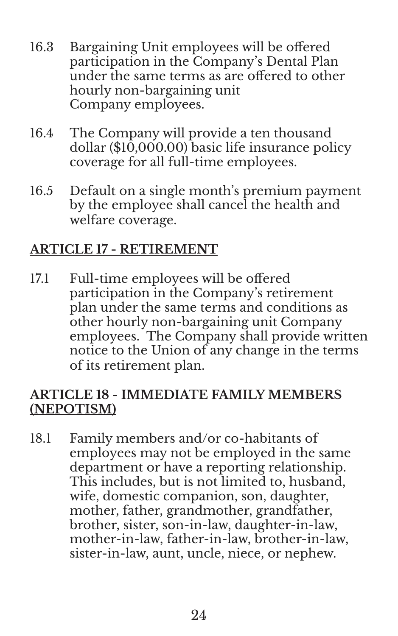- 16.3 Bargaining Unit employees will be offered participation in the Company's Dental Plan under the same terms as are offered to other hourly non-bargaining unit Company employees.
- 16.4 The Company will provide a ten thousand dollar ( $$10,000.00$ ) basic life insurance policy coverage for all full-time employees.
- 16.5 Default on a single month's premium payment by the employee shall cancel the health and welfare coverage.

# **ARTICLE 17 - RETIREMENT**

17.1 Full-time employees will be offered participation in the Company's retirement plan under the same terms and conditions as other hourly non-bargaining unit Company employees. The Company shall provide written notice to the Union of any change in the terms of its retirement plan.

### **ARTICLE 18 - IMMEDIATE FAMILY MEMBERS (NEPOTISM)**

18.1 Family members and/or co-habitants of employees may not be employed in the same department or have a reporting relationship. This includes, but is not limited to, husband, wife, domestic companion, son, daughter, mother, father, grandmother, grandfather, brother, sister, son-in-law, daughter-in-law, mother-in-law, father-in-law, brother-in-law, sister-in-law, aunt, uncle, niece, or nephew.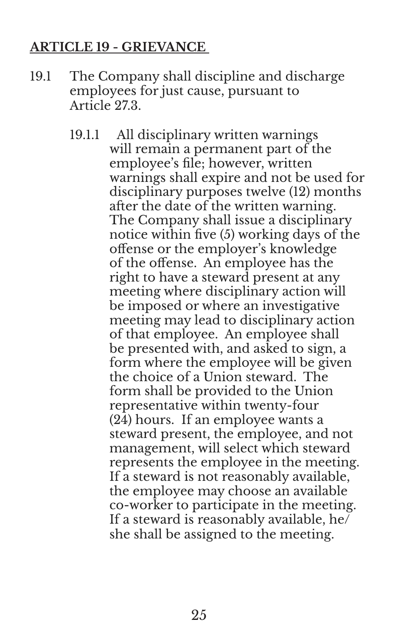#### **ARTICLE 19 - GRIEVANCE**

- 19.1 The Company shall discipline and discharge employees for just cause, pursuant to Article 27.3.
	- 19.1.1 All disciplinary written warnings will remain a permanent part of the employee's file; however, written warnings shall expire and not be used for disciplinary purposes twelve (12) months after the date of the written warning. The Company shall issue a disciplinary notice within five (5) working days of the offense or the employer's knowledge of the offense. An employee has the right to have a steward present at any meeting where disciplinary action will be imposed or where an investigative meeting may lead to disciplinary action of that employee. An employee shall be presented with, and asked to sign, a form where the employee will be given the choice of a Union steward. The form shall be provided to the Union representative within twenty-four (24) hours. If an employee wants a steward present, the employee, and not management, will select which steward represents the employee in the meeting. If a steward is not reasonably available, the employee may choose an available co-worker to participate in the meeting. If a steward is reasonably available, he $\overline{I}$ she shall be assigned to the meeting.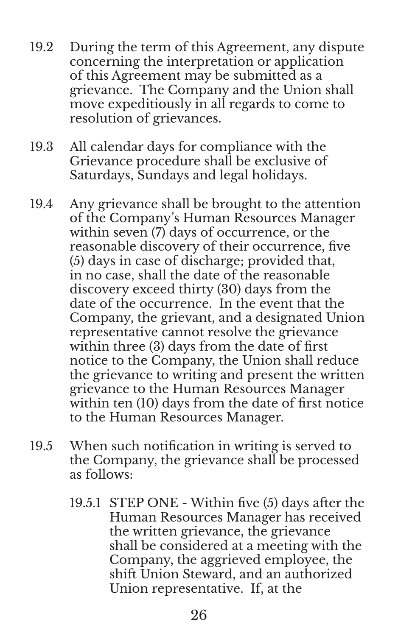- 19.2 During the term of this Agreement, any dispute concerning the interpretation or application of this Agreement may be submitted as a grievance. The Company and the Union shall move expeditiously in all regards to come to resolution of grievances.
- 19.3 All calendar days for compliance with the Grievance procedure shall be exclusive of Saturdays, Sundays and legal holidays.
- 19.4 Any grievance shall be brought to the attention of the Company's Human Resources Manager within seven (7) days of occurrence, or the reasonable discovery of their occurrence, five (5) days in case of discharge; provided that, in no case, shall the date of the reasonable discovery exceed thirty (30) days from the date of the occurrence. In the event that the Company, the grievant, and a designated Union representative cannot resolve the grievance within three (3) days from the date of first notice to the Company, the Union shall reduce the grievance to writing and present the written grievance to the Human Resources Manager within ten (10) days from the date of first notice to the Human Resources Manager.
- 19.5 When such notification in writing is served to the Company, the grievance shall be processed as follows:
	- 19.5.1 STEP ONE Within five (5) days after the Human Resources Manager has received the written grievance, the grievance shall be considered at a meeting with the Company, the aggrieved employee, the shift Union Steward, and an authorized Union representative. If, at the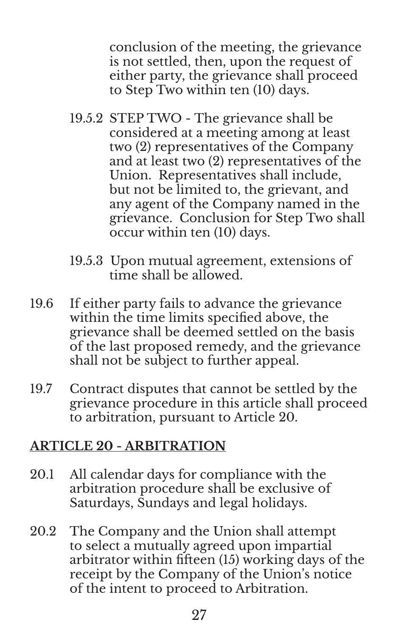conclusion of the meeting, the grievance is not settled, then, upon the request of either party, the grievance shall proceed to Step Two within ten (10) days.

- 19.5.2 STEP TWO The grievance shall be considered at a meeting among at least two (2) representatives of the Company and at least two (2) representatives of the Union. Representatives shall include, but not be limited to, the grievant, and any agent of the Company named in the grievance. Conclusion for Step Two shall occur within ten (10) days.
- 19.5.3 Upon mutual agreement, extensions of time shall be allowed.
- 19.6 If either party fails to advance the grievance within the time limits specified above, the grievance shall be deemed settled on the basis of the last proposed remedy, and the grievance shall not be subject to further appeal.
- 19.7 Contract disputes that cannot be settled by the grievance procedure in this article shall proceed to arbitration, pursuant to Article 20.

#### **ARTICLE 20 - ARBITRATION**

- 20.1 All calendar days for compliance with the arbitration procedure shall be exclusive of Saturdays, Sundays and legal holidays.
- 20.2 The Company and the Union shall attempt to select a mutually agreed upon impartial arbitrator within fifteen (15) working days of the receipt by the Company of the Union's notice of the intent to proceed to Arbitration.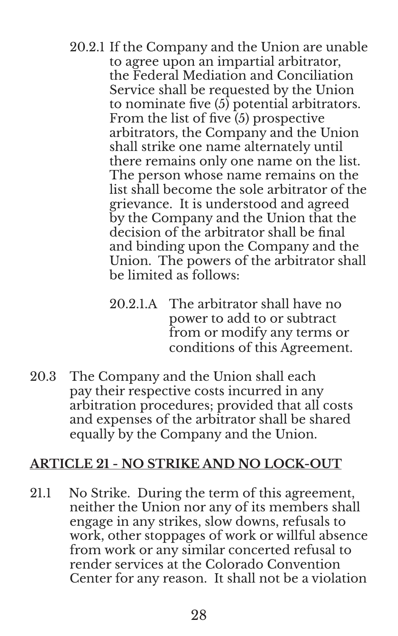- 20.2.1 If the Company and the Union are unable to agree upon an impartial arbitrator, the Federal Mediation and Conciliation Service shall be requested by the Union to nominate five (5) potential arbitrators. From the list of five (5) prospective arbitrators, the Company and the Union shall strike one name alternately until there remains only one name on the list. The person whose name remains on the list shall become the sole arbitrator of the grievance. It is understood and agreed by the Company and the Union that the decision of the arbitrator shall be final and binding upon the Company and the Union. The powers of the arbitrator shall be limited as follows:
	- 20.2.1.A The arbitrator shall have no power to add to or subtract from or modify any terms or conditions of this Agreement.
- 20.3 The Company and the Union shall each pay their respective costs incurred in any arbitration procedures; provided that all costs and expenses of the arbitrator shall be shared equally by the Company and the Union.

#### **ARTICLE 21 - NO STRIKE AND NO LOCK-OUT**

21.1 No Strike. During the term of this agreement, neither the Union nor any of its members shall engage in any strikes, slow downs, refusals to work, other stoppages of work or willful absence from work or any similar concerted refusal to render services at the Colorado Convention Center for any reason. It shall not be a violation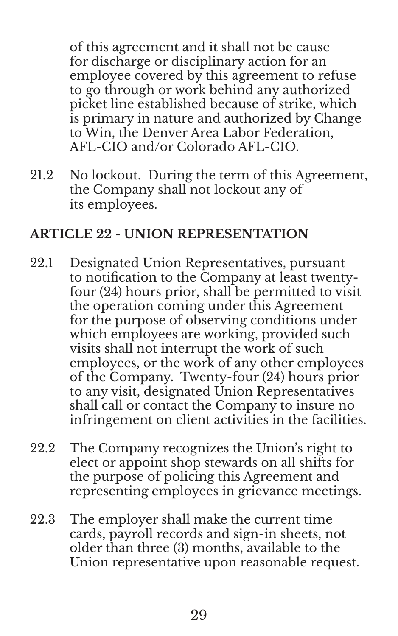of this agreement and it shall not be cause for discharge or disciplinary action for an employee covered by this agreement to refuse to go through or work behind any authorized picket line established because of strike, which is primary in nature and authorized by Change to Win, the Denver Area Labor Federation, AFL-CIO and/or Colorado AFL-CIO.

21.2 No lockout. During the term of this Agreement, the Company shall not lockout any of its employees.

### **ARTICLE 22 - UNION REPRESENTATION**

- 22.1 Designated Union Representatives, pursuant to notification to the Company at least twentyfour (24) hours prior, shall be permitted to visit the operation coming under this Agreement for the purpose of observing conditions under which employees are working, provided such visits shall not interrupt the work of such employees, or the work of any other employees of the Company. Twenty-four (24) hours prior to any visit, designated Union Representatives shall call or contact the Company to insure no infringement on client activities in the facilities.
- 22.2 The Company recognizes the Union's right to elect or appoint shop stewards on all shifts for the purpose of policing this Agreement and representing employees in grievance meetings.
- 22.3 The employer shall make the current time cards, payroll records and sign-in sheets, not older than three (3) months, available to the Union representative upon reasonable request.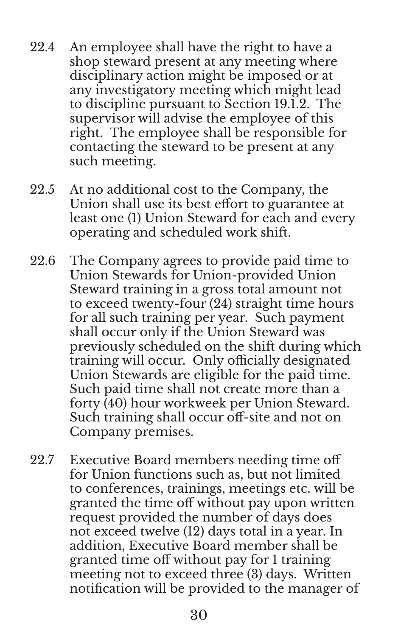- 22.4 An employee shall have the right to have a shop steward present at any meeting where disciplinary action might be imposed or at any investigatory meeting which might lead to discipline pursuant to Section 19.1.2. The supervisor will advise the employee of this right. The employee shall be responsible for contacting the steward to be present at any such meeting.
- 22.5 At no additional cost to the Company, the Union shall use its best effort to guarantee at least one (1) Union Steward for each and every operating and scheduled work shift.
- 22.6 The Company agrees to provide paid time to Union Stewards for Union-provided Union Steward training in a gross total amount not to exceed twenty-four (24) straight time hours for all such training per year. Such payment shall occur only if the Union Steward was previously scheduled on the shift during which training will occur. Only officially designated Union Stewards are eligible for the paid time. Such paid time shall not create more than a forty (40) hour workweek per Union Steward. Such training shall occur off-site and not on Company premises.
- 22.7 Executive Board members needing time off for Union functions such as, but not limited to conferences, trainings, meetings etc. will be granted the time off without pay upon written request provided the number of days does not exceed twelve (12) days total in a year. In addition, Executive Board member shall be granted time off without pay for 1 training meeting not to exceed three (3) days. Written notification will be provided to the manager of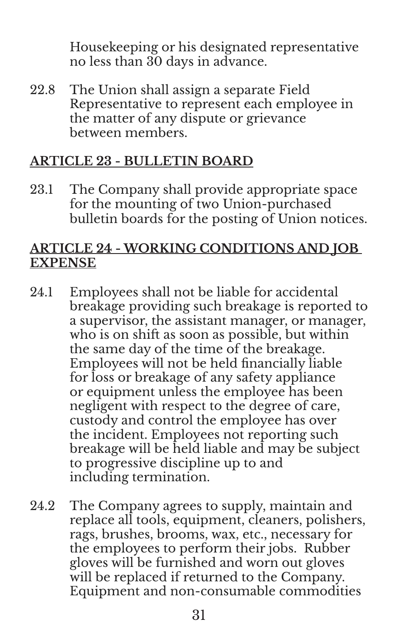Housekeeping or his designated representative no less than 30 days in advance.

22.8 The Union shall assign a separate Field Representative to represent each employee in the matter of any dispute or grievance between members.

# **ARTICLE 23 - BULLETIN BOARD**

23.1 The Company shall provide appropriate space for the mounting of two Union-purchased bulletin boards for the posting of Union notices.

#### **ARTICLE 24 - WORKING CONDITIONS AND JOB EXPENSE**

- 24.1 Employees shall not be liable for accidental breakage providing such breakage is reported to a supervisor, the assistant manager, or manager, who is on shift as soon as possible, but within the same day of the time of the breakage. Employees will not be held financially liable for loss or breakage of any safety appliance or equipment unless the employee has been negligent with respect to the degree of care, custody and control the employee has over the incident. Employees not reporting such breakage will be held liable and may be subject to progressive discipline up to and including termination.
- 24.2 The Company agrees to supply, maintain and replace all tools, equipment, cleaners, polishers, rags, brushes, brooms, wax, etc., necessary for the employees to perform their jobs. Rubber gloves will be furnished and worn out gloves will be replaced if returned to the Company. Equipment and non-consumable commodities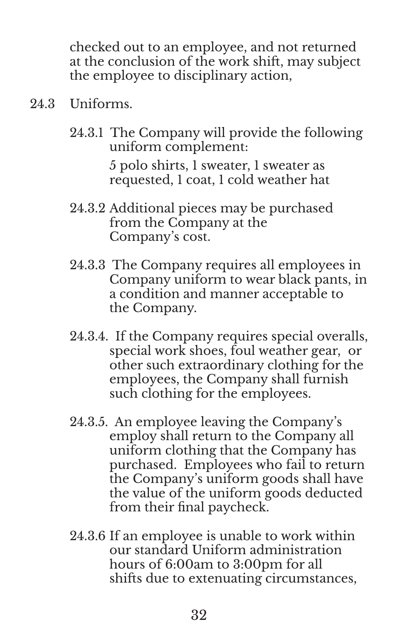checked out to an employee, and not returned at the conclusion of the work shift, may subject the employee to disciplinary action,

- 24.3 Uniforms.
	- 24.3.1 The Company will provide the following uniform complement: 5 polo shirts, 1 sweater, 1 sweater as requested, 1 coat, 1 cold weather hat
	- 24.3.2 Additional pieces may be purchased from the Company at the Company's cost.
	- 24.3.3 The Company requires all employees in Company uniform to wear black pants, in a condition and manner acceptable to the Company.
	- 24.3.4. If the Company requires special overalls, special work shoes, foul weather gear, or other such extraordinary clothing for the employees, the Company shall furnish such clothing for the employees.
	- 24.3.5. An employee leaving the Company's employ shall return to the Company all uniform clothing that the Company has purchased. Employees who fail to return the Company's uniform goods shall have the value of the uniform goods deducted from their final paycheck.
	- 24.3.6 If an employee is unable to work within our standard Uniform administration hours of 6:00am to 3:00pm for all shifts due to extenuating circumstances,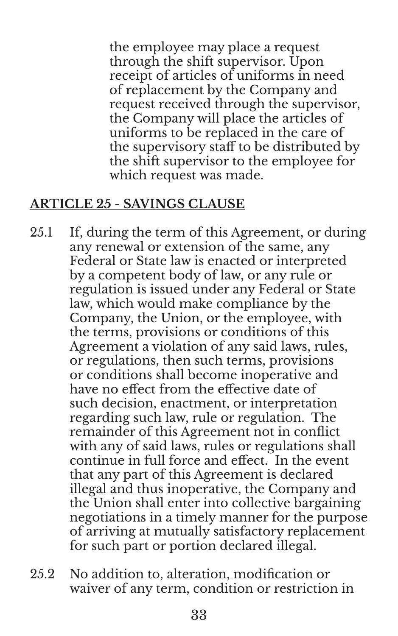the employee may place a request through the shift supervisor. Upon receipt of articles of uniforms in need of replacement by the Company and request received through the supervisor, the Company will place the articles of uniforms to be replaced in the care of the supervisory staff to be distributed by the shift supervisor to the employee for which request was made.

# **ARTICLE 25 - SAVINGS CLAUSE**

- 25.1 If, during the term of this Agreement, or during any renewal or extension of the same, any Federal or State law is enacted or interpreted by a competent body of law, or any rule or regulation is issued under any Federal or State law, which would make compliance by the Company, the Union, or the employee, with the terms, provisions or conditions of this Agreement a violation of any said laws, rules, or regulations, then such terms, provisions or conditions shall become inoperative and have no effect from the effective date of such decision, enactment, or interpretation regarding such law, rule or regulation. The remainder of this Agreement not in conflict with any of said laws, rules or regulations shall continue in full force and effect. In the event that any part of this Agreement is declared illegal and thus inoperative, the Company and the Union shall enter into collective bargaining negotiations in a timely manner for the purpose of arriving at mutually satisfactory replacement for such part or portion declared illegal.
- 25.2 No addition to, alteration, modification or waiver of any term, condition or restriction in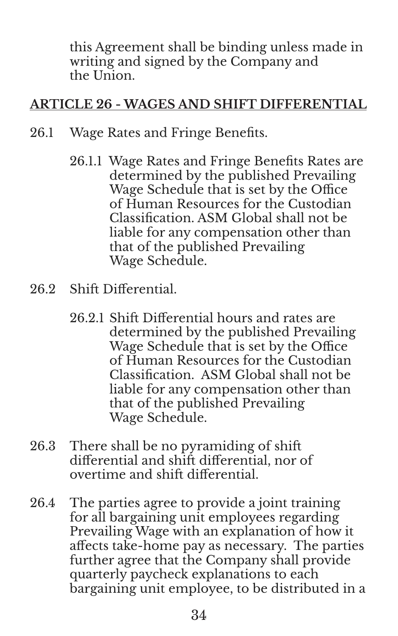this Agreement shall be binding unless made in writing and signed by the Company and the Union.

# **ARTICLE 26 - WAGES AND SHIFT DIFFERENTIAL**

- 26.1 Wage Rates and Fringe Benefits.
	- 26.1.1 Wage Rates and Fringe Benefits Rates are determined by the published Prevailing Wage Schedule that is set by the Office of Human Resources for the Custodian Classification. ASM Global shall not be liable for any compensation other than that of the published Prevailing Wage Schedule.
- 26.2 Shift Differential.
	- 26.2.1 Shift Differential hours and rates are determined by the published Prevailing Wage Schedule that is set by the Office of Human Resources for the Custodian Classification. ASM Global shall not be liable for any compensation other than that of the published Prevailing Wage Schedule.
- 26.3 There shall be no pyramiding of shift differential and shift differential, nor of overtime and shift differential.
- 26.4 The parties agree to provide a joint training for all bargaining unit employees regarding Prevailing Wage with an explanation of how it affects take-home pay as necessary. The parties further agree that the Company shall provide quarterly paycheck explanations to each bargaining unit employee, to be distributed in a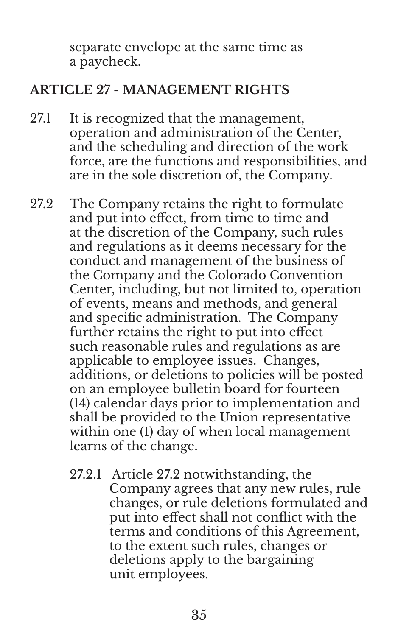separate envelope at the same time as a paycheck.

#### **ARTICLE 27 - MANAGEMENT RIGHTS**

- 27.1 It is recognized that the management, operation and administration of the Center, and the scheduling and direction of the work force, are the functions and responsibilities, and are in the sole discretion of, the Company.
- 27.2 The Company retains the right to formulate and put into effect, from time to time and at the discretion of the Company, such rules and regulations as it deems necessary for the conduct and management of the business of the Company and the Colorado Convention Center, including, but not limited to, operation of events, means and methods, and general and specific administration. The Company further retains the right to put into effect such reasonable rules and regulations as are applicable to employee issues. Changes, additions, or deletions to policies will be posted on an employee bulletin board for fourteen (14) calendar days prior to implementation and shall be provided to the Union representative within one (1) day of when local management learns of the change.
	- 27.2.1 Article 27.2 notwithstanding, the Company agrees that any new rules, rule changes, or rule deletions formulated and put into effect shall not conflict with the terms and conditions of this Agreement, to the extent such rules, changes or deletions apply to the bargaining unit employees.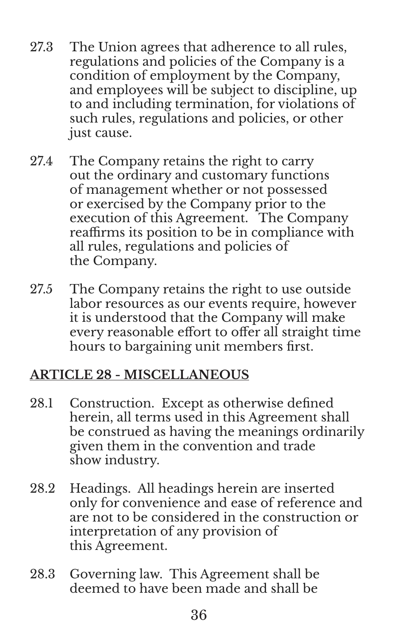- 27.3 The Union agrees that adherence to all rules, regulations and policies of the Company is a condition of employment by the Company, and employees will be subject to discipline, up to and including termination, for violations of such rules, regulations and policies, or other just cause.
- 27.4 The Company retains the right to carry out the ordinary and customary functions of management whether or not possessed or exercised by the Company prior to the execution of this Agreement. The Company reaffirms its position to be in compliance with all rules, regulations and policies of the Company.
- 27.5 The Company retains the right to use outside labor resources as our events require, however it is understood that the Company will make every reasonable effort to offer all straight time hours to bargaining unit members first.

# **ARTICLE 28 - MISCELLANEOUS**

- 28.1 Construction. Except as otherwise defined herein, all terms used in this Agreement shall be construed as having the meanings ordinarily given them in the convention and trade show industry.
- 28.2 Headings. All headings herein are inserted only for convenience and ease of reference and are not to be considered in the construction or interpretation of any provision of this Agreement.
- 28.3 Governing law. This Agreement shall be deemed to have been made and shall be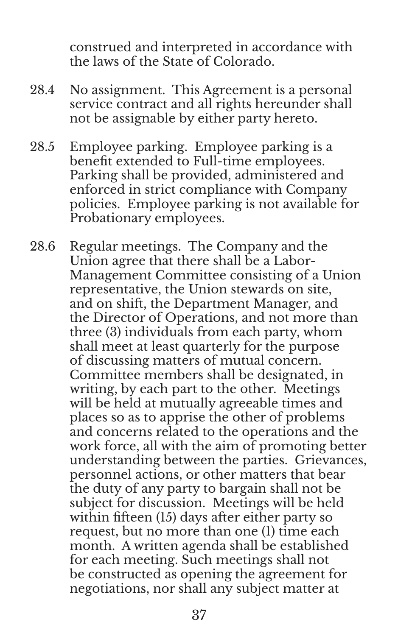construed and interpreted in accordance with the laws of the State of Colorado.

- 28.4 No assignment. This Agreement is a personal service contract and all rights hereunder shall not be assignable by either party hereto.
- 28.5 Employee parking. Employee parking is a benefit extended to Full-time employees. Parking shall be provided, administered and enforced in strict compliance with Company policies. Employee parking is not available for Probationary employees.
- 28.6 Regular meetings. The Company and the Union agree that there shall be a Labor-Management Committee consisting of a Union representative, the Union stewards on site, and on shift, the Department Manager, and the Director of Operations, and not more than three (3) individuals from each party, whom shall meet at least quarterly for the purpose of discussing matters of mutual concern. Committee members shall be designated, in writing, by each part to the other. Meetings will be held at mutually agreeable times and places so as to apprise the other of problems and concerns related to the operations and the work force, all with the aim of promoting better understanding between the parties. Grievances, personnel actions, or other matters that bear the duty of any party to bargain shall not be subject for discussion. Meetings will be held within fifteen (15) days after either party so request, but no more than one (1) time each month. A written agenda shall be established for each meeting. Such meetings shall not be constructed as opening the agreement for negotiations, nor shall any subject matter at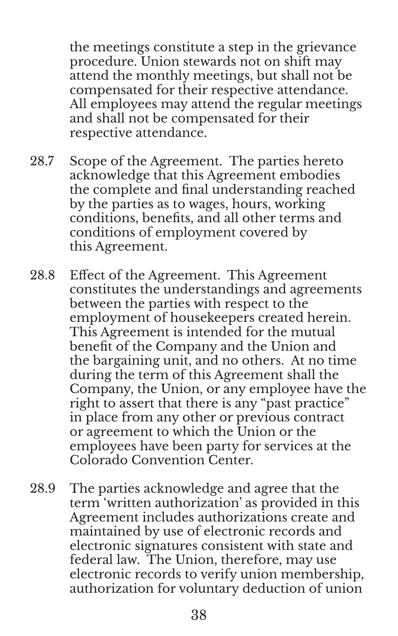the meetings constitute a step in the grievance procedure. Union stewards not on shift may attend the monthly meetings, but shall not be compensated for their respective attendance. All employees may attend the regular meetings and shall not be compensated for their respective attendance.

- 28.7 Scope of the Agreement. The parties hereto acknowledge that this Agreement embodies the complete and final understanding reached by the parties as to wages, hours, working conditions, benefits, and all other terms and conditions of employment covered by this Agreement.
- 28.8 Effect of the Agreement. This Agreement constitutes the understandings and agreements between the parties with respect to the employment of housekeepers created herein. This Agreement is intended for the mutual benefit of the Company and the Union and the bargaining unit, and no others. At no time during the term of this Agreement shall the Company, the Union, or any employee have the right to assert that there is any "past practice" in place from any other or previous contract or agreement to which the Union or the employees have been party for services at the Colorado Convention Center.
- 28.9 The parties acknowledge and agree that the term 'written authorization' as provided in this Agreement includes authorizations create and maintained by use of electronic records and electronic signatures consistent with state and federal law. The Union, therefore, may use electronic records to verify union membership, authorization for voluntary deduction of union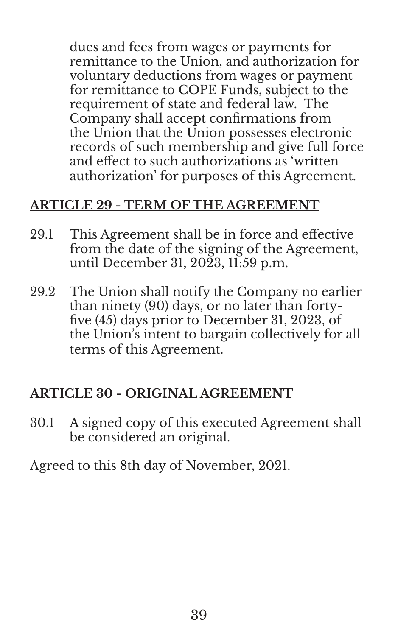dues and fees from wages or payments for remittance to the Union, and authorization for voluntary deductions from wages or payment for remittance to COPE Funds, subject to the requirement of state and federal law. The Company shall accept confirmations from the Union that the Union possesses electronic records of such membership and give full force and effect to such authorizations as 'written authorization' for purposes of this Agreement.

### **ARTICLE 29 - TERM OF THE AGREEMENT**

- 29.1 This Agreement shall be in force and effective from the date of the signing of the Agreement, until December 31, 2023, 11:59 p.m.
- 29.2 The Union shall notify the Company no earlier than ninety (90) days, or no later than fortyfive (45) days prior to December 31, 2023, of the Union's intent to bargain collectively for all terms of this Agreement.

# **ARTICLE 30 - ORIGINAL AGREEMENT**

30.1 A signed copy of this executed Agreement shall be considered an original.

Agreed to this 8th day of November, 2021.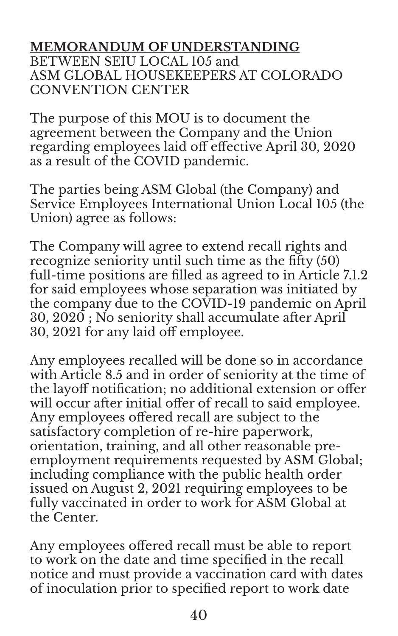#### **MEMORANDUM OF UNDERSTANDING** BETWEEN SEIU LOCAL 105 and ASM GLOBAL HOUSEKEEPERS AT COLORADO CONVENTION CENTER

The purpose of this MOU is to document the agreement between the Company and the Union regarding employees laid off effective April 30, 2020 as a result of the COVID pandemic.

The parties being ASM Global (the Company) and Service Employees International Union Local 105 (the Union) agree as follows:

The Company will agree to extend recall rights and recognize seniority until such time as the fifty (50) full-time positions are filled as agreed to in Article 7.1.2 for said employees whose separation was initiated by the company due to the COVID-19 pandemic on April 30, 2020 ; No seniority shall accumulate after April 30, 2021 for any laid off employee.

Any employees recalled will be done so in accordance with Article 8.5 and in order of seniority at the time of the layoff notification; no additional extension or offer will occur after initial offer of recall to said employee. Any employees offered recall are subject to the satisfactory completion of re-hire paperwork, orientation, training, and all other reasonable preemployment requirements requested by ASM Global; including compliance with the public health order issued on August 2, 2021 requiring employees to be fully vaccinated in order to work for ASM Global at the Center.

Any employees offered recall must be able to report to work on the date and time specified in the recall notice and must provide a vaccination card with dates of inoculation prior to specified report to work date